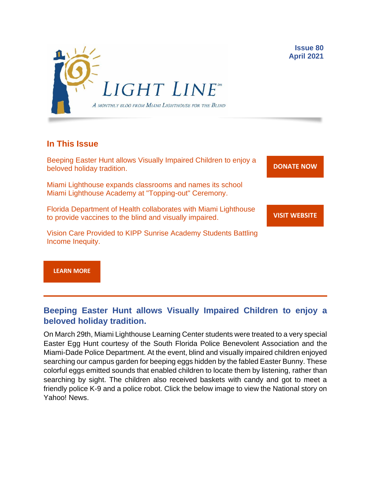

## **In This Issue**

Beeping Easter Hunt allows Visually Impaired Children to enjoy a beloved holiday tradition.

Miami Lighthouse expands classrooms and names its school Miami Lighthouse Academy at "Topping-out" Ceremony.

Florida Department of Health collaborates with Miami Lighthouse to provide vaccines to the blind and visually impaired.

Vision Care Provided to KIPP Sunrise Academy Students Battling Income Inequity.

**[DONATE](http://r20.rs6.net/tn.jsp?f=001gO2GdS4FPEo240mg91k3c6HYN6ozMk69i8vrHipkUVt0nirc6iRjFsnZMWQfGpPyX5jA608dzGsffulXhDWN87JpF0RNMOsrEiEcR9KIVEjaVePiHS9eny3wE9Zh3DibFuDj7zvtMQCXwVbtALXi3_cnEJaT8XURz8jTt9N4yGe0rF3VoM8Y5mGhwRavYQ9CBe_fM4GbcQM=&c=A5xWHdmKDISdqoVssYAkMfhtdAlzuVskAHp3ASewWzRv5OnB7XubeA==&ch=KFi9wV6k5Z13Ef8Qia4fM-L584mfsNs0RWKjkNv-Bombmn4mZKg5Lw==) NOW**

**VISIT [WEBSITE](http://r20.rs6.net/tn.jsp?f=001gO2GdS4FPEo240mg91k3c6HYN6ozMk69i8vrHipkUVt0nirc6iRjFp5OLUPp5xz8iJ7cM7NxB4ho-pmJZegg-UUCCff2BfEg0hVFNWmithw5L76cpbdpMlw1ZgIRlQC6OwIp0zOZvc1jcAvQYtup6ODb3HvWFX4_CFaBZinytweEHJSIK44w1g==&c=A5xWHdmKDISdqoVssYAkMfhtdAlzuVskAHp3ASewWzRv5OnB7XubeA==&ch=KFi9wV6k5Z13Ef8Qia4fM-L584mfsNs0RWKjkNv-Bombmn4mZKg5Lw==)**

**Issue 80 April 2021**

**[LEARN MORE](http://www.miamilighthouse.org)**

## **Beeping Easter Hunt allows Visually Impaired Children to enjoy a beloved holiday tradition.**

On March 29th, Miami Lighthouse Learning Center students were treated to a very special Easter Egg Hunt courtesy of the South Florida Police Benevolent Association and the Miami-Dade Police Department. At the event, blind and visually impaired children enjoyed searching our campus garden for beeping eggs hidden by the fabled Easter Bunny. These colorful eggs emitted sounds that enabled children to locate them by listening, rather than searching by sight. The children also received baskets with candy and got to meet a friendly police K-9 and a police robot. Click the below image to view the National story on Yahoo! News.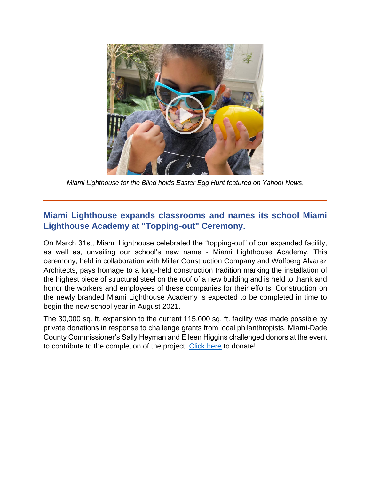

*Miami Lighthouse for the Blind holds Easter Egg Hunt featured on Yahoo! News.*

# **Miami Lighthouse expands classrooms and names its school Miami Lighthouse Academy at "Topping-out" Ceremony.**

On March 31st, Miami Lighthouse celebrated the "topping-out" of our expanded facility, as well as, unveiling our school's new name - Miami Lighthouse Academy. This ceremony, held in collaboration with Miller Construction Company and Wolfberg Alvarez Architects, pays homage to a long-held construction tradition marking the installation of the highest piece of structural steel on the roof of a new building and is held to thank and honor the workers and employees of these companies for their efforts. Construction on the newly branded Miami Lighthouse Academy is expected to be completed in time to begin the new school year in August 2021.

The 30,000 sq. ft. expansion to the current 115,000 sq. ft. facility was made possible by private donations in response to challenge grants from local philanthropists. Miami-Dade County Commissioner's Sally Heyman and Eileen Higgins challenged donors at the event to contribute to the completion of the project. [Click here](https://secure.miamilighthouse.org/LightTheWayChallenge.asp) to donate!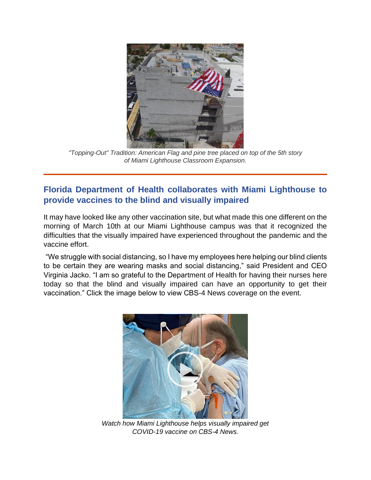

*"Topping-Out" Tradition: American Flag and pine tree placed on top of the 5th story of Miami Lighthouse Classroom Expansion.*

## **Florida Department of Health collaborates with Miami Lighthouse to provide vaccines to the blind and visually impaired**

It may have looked like any other vaccination site, but what made this one different on the morning of March 10th at our Miami Lighthouse campus was that it recognized the difficulties that the visually impaired have experienced throughout the pandemic and the vaccine effort.

"We struggle with social distancing, so I have my employees here helping our blind clients to be certain they are wearing masks and social distancing," said President and CEO Virginia Jacko. "I am so grateful to the Department of Health for having their nurses here today so that the blind and visually impaired can have an opportunity to get their vaccination." Click the image below to view CBS-4 News coverage on the event.



*Watch how Miami Lighthouse helps visually impaired get COVID-19 vaccine on CBS-4 News.*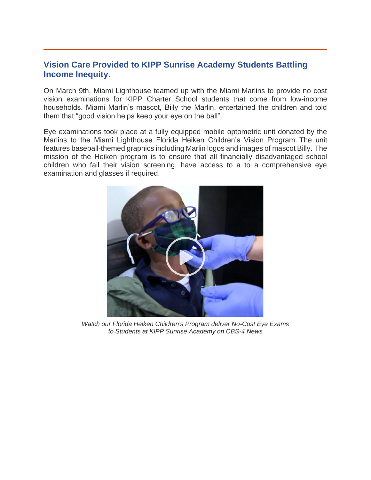#### **Vision Care Provided to KIPP Sunrise Academy Students Battling Income Inequity.**

On March 9th, Miami Lighthouse teamed up with the Miami Marlins to provide no cost vision examinations for KIPP Charter School students that come from low-income households. Miami Marlin's mascot, Billy the Marlin, entertained the children and told them that "good vision helps keep your eye on the ball".

Eye examinations took place at a fully equipped mobile optometric unit donated by the Marlins to the Miami Lighthouse Florida Heiken Children's Vision Program. The unit features baseball-themed graphics including Marlin logos and images of mascot Billy. The mission of the Heiken program is to ensure that all financially disadvantaged school children who fail their vision screening, have access to a to a comprehensive eye examination and glasses if required.



*Watch our Florida Heiken Children's Program deliver No-Cost Eye Exams to Students at KIPP Sunrise Academy on CBS-4 News*